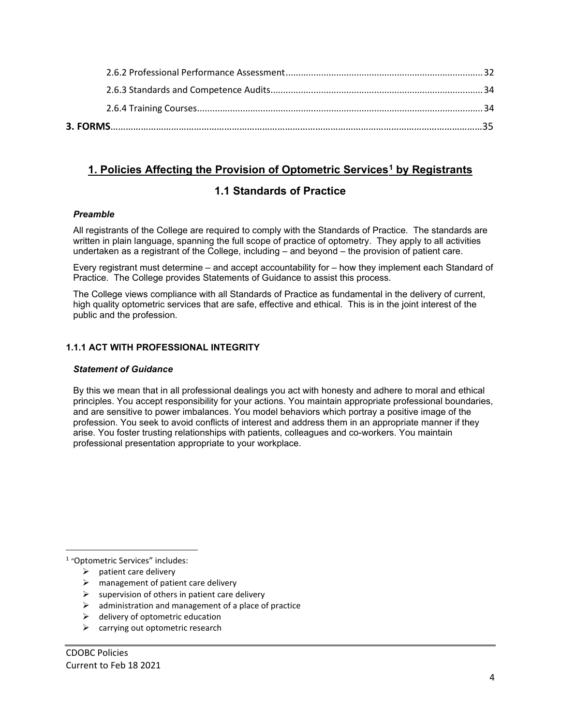# **1. Policies Affecting the Provision of Optometric Services[1](#page-0-0) by Registrants**

# **1.1 Standards of Practice**

# *Preamble*

All registrants of the College are required to comply with the Standards of Practice. The standards are written in plain language, spanning the full scope of practice of optometry. They apply to all activities undertaken as a registrant of the College, including – and beyond – the provision of patient care.

Every registrant must determine – and accept accountability for – how they implement each Standard of Practice. The College provides Statements of Guidance to assist this process.

The College views compliance with all Standards of Practice as fundamental in the delivery of current, high quality optometric services that are safe, effective and ethical. This is in the joint interest of the public and the profession.

# **1.1.1 ACT WITH PROFESSIONAL INTEGRITY**

# *Statement of Guidance*

By this we mean that in all professional dealings you act with honesty and adhere to moral and ethical principles. You accept responsibility for your actions. You maintain appropriate professional boundaries, and are sensitive to power imbalances. You model behaviors which portray a positive image of the profession. You seek to avoid conflicts of interest and address them in an appropriate manner if they arise. You foster trusting relationships with patients, colleagues and co-workers. You maintain professional presentation appropriate to your workplace.

<span id="page-0-0"></span><sup>1</sup> "Optometric Services" includes:

- $\triangleright$  patient care delivery
- $\triangleright$  management of patient care delivery
- $\triangleright$  supervision of others in patient care delivery
- administration and management of a place of practice
- $\triangleright$  delivery of optometric education
- $\triangleright$  carrying out optometric research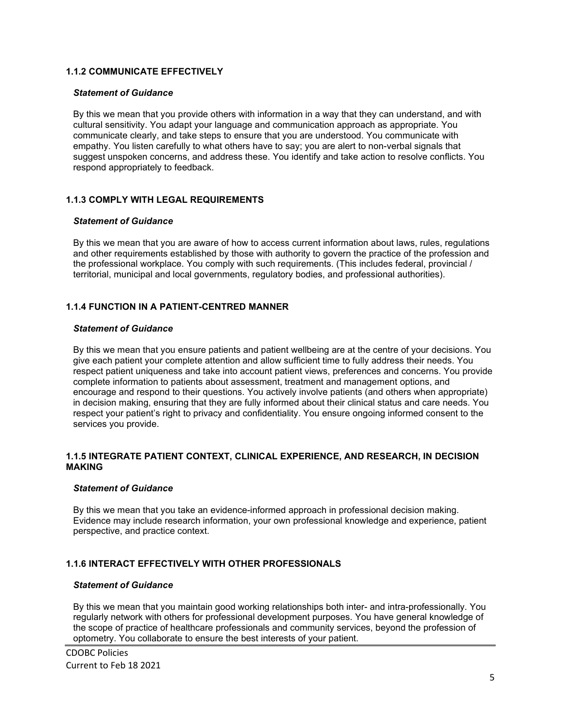# **1.1.2 COMMUNICATE EFFECTIVELY**

#### *Statement of Guidance*

By this we mean that you provide others with information in a way that they can understand, and with cultural sensitivity. You adapt your language and communication approach as appropriate. You communicate clearly, and take steps to ensure that you are understood. You communicate with empathy. You listen carefully to what others have to say; you are alert to non-verbal signals that suggest unspoken concerns, and address these. You identify and take action to resolve conflicts. You respond appropriately to feedback.

# **1.1.3 COMPLY WITH LEGAL REQUIREMENTS**

#### *Statement of Guidance*

By this we mean that you are aware of how to access current information about laws, rules, regulations and other requirements established by those with authority to govern the practice of the profession and the professional workplace. You comply with such requirements. (This includes federal, provincial / territorial, municipal and local governments, regulatory bodies, and professional authorities).

# **1.1.4 FUNCTION IN A PATIENT-CENTRED MANNER**

# *Statement of Guidance*

By this we mean that you ensure patients and patient wellbeing are at the centre of your decisions. You give each patient your complete attention and allow sufficient time to fully address their needs. You respect patient uniqueness and take into account patient views, preferences and concerns. You provide complete information to patients about assessment, treatment and management options, and encourage and respond to their questions. You actively involve patients (and others when appropriate) in decision making, ensuring that they are fully informed about their clinical status and care needs. You respect your patient's right to privacy and confidentiality. You ensure ongoing informed consent to the services you provide.

#### **1.1.5 INTEGRATE PATIENT CONTEXT, CLINICAL EXPERIENCE, AND RESEARCH, IN DECISION MAKING**

# *Statement of Guidance*

By this we mean that you take an evidence-informed approach in professional decision making. Evidence may include research information, your own professional knowledge and experience, patient perspective, and practice context.

# **1.1.6 INTERACT EFFECTIVELY WITH OTHER PROFESSIONALS**

# *Statement of Guidance*

By this we mean that you maintain good working relationships both inter- and intra-professionally. You regularly network with others for professional development purposes. You have general knowledge of the scope of practice of healthcare professionals and community services, beyond the profession of optometry. You collaborate to ensure the best interests of your patient.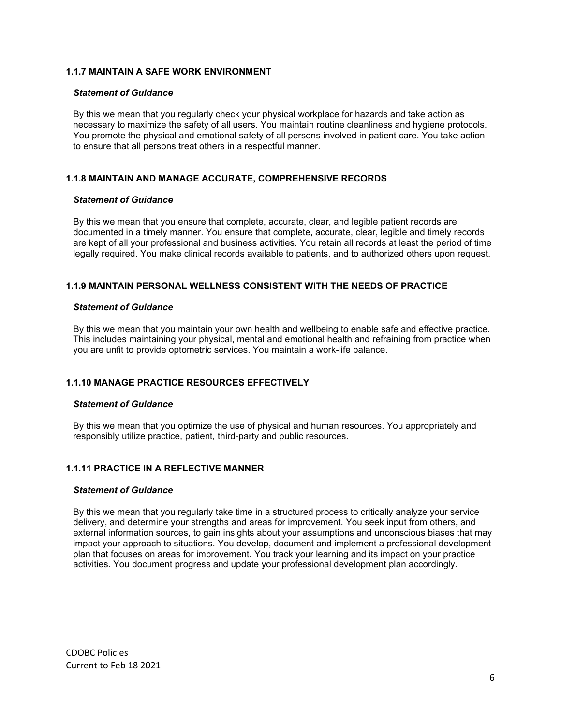# **1.1.7 MAINTAIN A SAFE WORK ENVIRONMENT**

#### *Statement of Guidance*

By this we mean that you regularly check your physical workplace for hazards and take action as necessary to maximize the safety of all users. You maintain routine cleanliness and hygiene protocols. You promote the physical and emotional safety of all persons involved in patient care. You take action to ensure that all persons treat others in a respectful manner.

# **1.1.8 MAINTAIN AND MANAGE ACCURATE, COMPREHENSIVE RECORDS**

#### *Statement of Guidance*

By this we mean that you ensure that complete, accurate, clear, and legible patient records are documented in a timely manner. You ensure that complete, accurate, clear, legible and timely records are kept of all your professional and business activities. You retain all records at least the period of time legally required. You make clinical records available to patients, and to authorized others upon request.

# **1.1.9 MAINTAIN PERSONAL WELLNESS CONSISTENT WITH THE NEEDS OF PRACTICE**

#### *Statement of Guidance*

By this we mean that you maintain your own health and wellbeing to enable safe and effective practice. This includes maintaining your physical, mental and emotional health and refraining from practice when you are unfit to provide optometric services. You maintain a work-life balance.

# **1.1.10 MANAGE PRACTICE RESOURCES EFFECTIVELY**

# *Statement of Guidance*

By this we mean that you optimize the use of physical and human resources. You appropriately and responsibly utilize practice, patient, third-party and public resources.

# **1.1.11 PRACTICE IN A REFLECTIVE MANNER**

#### *Statement of Guidance*

By this we mean that you regularly take time in a structured process to critically analyze your service delivery, and determine your strengths and areas for improvement. You seek input from others, and external information sources, to gain insights about your assumptions and unconscious biases that may impact your approach to situations. You develop, document and implement a professional development plan that focuses on areas for improvement. You track your learning and its impact on your practice activities. You document progress and update your professional development plan accordingly.